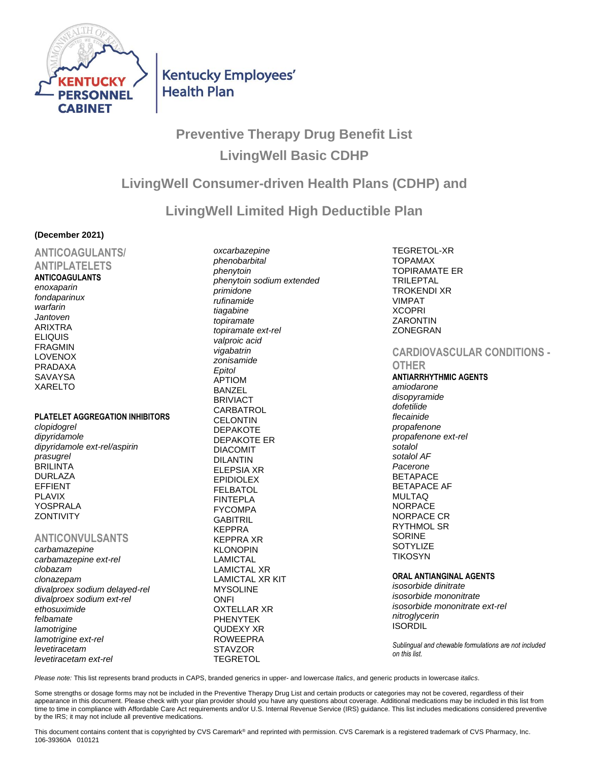

**Kentucky Employees' Health Plan** 

# **Preventive Therapy Drug Benefit List LivingWell Basic CDHP**

# **LivingWell Consumer-driven Health Plans (CDHP) and**

# **LivingWell Limited High Deductible Plan**

## **(December 2021)**

**ANTICOAGULANTS/ ANTIPLATELETS ANTICOAGULANTS** *enoxaparin fondaparinux warfarin Jantoven* ARIXTRA ELIQUIS FRAGMIN LOVENOX PRADAXA **SAVAYSA** XARELTO

## **PLATELET AGGREGATION INHIBITORS**

*clopidogrel dipyridamole dipyridamole ext-rel/aspirin prasugrel* BRILINTA DURLAZA EFFIENT PLAVIX YOSPRALA **ZONTIVITY** 

# **ANTICONVULSANTS**

*carbamazepine carbamazepine ext-rel clobazam clonazepam divalproex sodium delayed-rel divalproex sodium ext-rel ethosuximide felbamate lamotrigine lamotrigine ext-rel levetiracetam levetiracetam ext-rel*

*oxcarbazepine phenobarbital phenytoin phenytoin sodium extended primidone rufinamide tiagabine topiramate topiramate ext-rel valproic acid vigabatrin zonisamide Epitol* APTIOM BANZEL BRIVIACT **CARBATROL CELONTIN** DEPAKOTE DEPAKOTE ER DIACOMIT DILANTIN ELEPSIA XR EPIDIOLEX FELBATOL FINTEPLA FYCOMPA **GABITRIL** KEPPRA KEPPRA XR KLONOPIN LAMICTAL LAMICTAL XR LAMICTAL XR KIT MYSOLINE **ONFI** OXTELLAR XR PHENYTEK QUDEXY XR ROWEEPRA **STAVZOR TEGRETOL** 

TEGRETOL-XR TOPAMAX TOPIRAMATE ER TRILEPTAL TROKENDI XR VIMPAT **XCOPRI ZARONTIN ZONEGRAN** 

## **CARDIOVASCULAR CONDITIONS - OTHER**

**ANTIARRHYTHMIC AGENTS** *amiodarone disopyramide dofetilide flecainide propafenone propafenone ext-rel sotalol sotalol AF Pacerone* BETAPACE BETAPACE AF MULTAQ NORPACE NORPACE CR RYTHMOL SR SORINE **SOTYLIZE TIKOSYN** 

## **ORAL ANTIANGINAL AGENTS**

*isosorbide dinitrate isosorbide mononitrate isosorbide mononitrate ext-rel nitroglycerin* **ISORDIL** 

*Sublingual and chewable formulations are not included on this list.*

*Please note:* This list represents brand products in CAPS, branded generics in upper- and lowercase *Italics*, and generic products in lowercase *italics*.

Some strengths or dosage forms may not be included in the Preventive Therapy Drug List and certain products or categories may not be covered, regardless of their appearance in this document. Please check with your plan provider should you have any questions about coverage. Additional medications may be included in this list from time to time in compliance with Affordable Care Act requirements and/or U.S. Internal Revenue Service (IRS) guidance. This list includes medications considered preventive by the IRS; it may not include all preventive medications.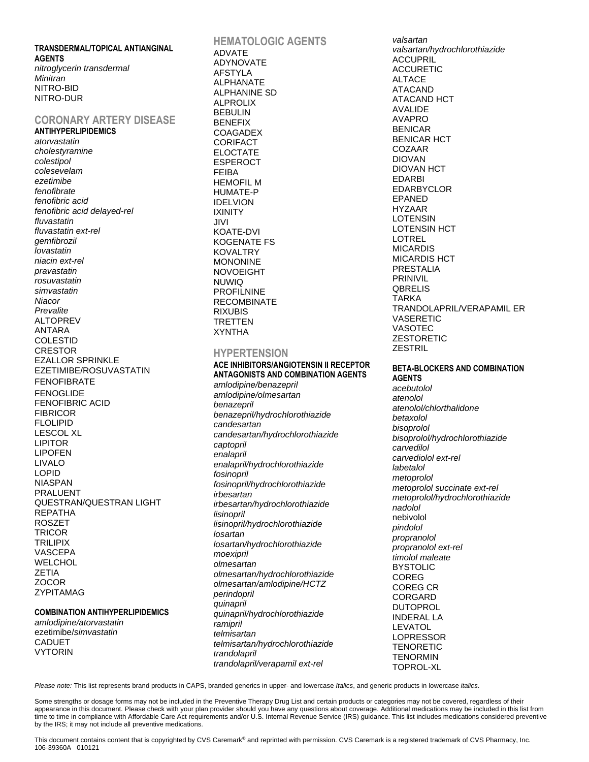#### **TRANSDERMAL/TOPICAL ANTIANGINAL AGENTS**

*nitroglycerin transdermal Minitran* NITRO-BID NITRO-DUR

## **CORONARY ARTERY DISEASE**

**ANTIHYPERLIPIDEMICS** *atorvastatin cholestyramine colestipol colesevelam ezetimibe fenofibrate fenofibric acid fenofibric acid delayed-rel fluvastatin fluvastatin ext-rel gemfibrozil lovastatin niacin ext-rel pravastatin rosuvastatin simvastatin Niacor Prevalite* ALTOPREV ANTARA COLESTID CRESTOR EZALLOR SPRINKLE EZETIMIBE/ROSUVASTATIN FENOFIBRATE FENOGLIDE FENOFIBRIC ACID FIBRICOR FLOLIPID LESCOL XL LIPITOR LIPOFEN LIVALO LOPID NIASPAN PRALUENT QUESTRAN/QUESTRAN LIGHT REPATHA ROSZET **TRICOR** TRILIPIX VASCEPA **WELCHOL** ZETIA ZOCOR ZYPITAMAG

#### **COMBINATION ANTIHYPERLIPIDEMICS**

*amlodipine/atorvastatin* ezetimibe/*simvastatin* CADUET VYTORIN

**HEMATOLOGIC AGENTS** ADVATE ADYNOVATE AFSTYLA ALPHANATE ALPHANINE SD ALPROLIX BEBULIN BENEFIX **COAGADEX CORIFACT** ELOCTATE ESPEROCT FEIBA HEMOFIL M HUMATE-P IDELVION IXINITY JIVI KOATE-DVI KOGENATE FS KOVALTRY MONONINE NOVOEIGHT NUWIQ PROFILNINE RECOMBINATE **RIXUBIS** TRETTEN XYNTHA

### **HYPERTENSION**

**ACE INHIBITORS/ANGIOTENSIN II RECEPTOR ANTAGONISTS AND COMBINATION AGENTS** *amlodipine/benazepril amlodipine/olmesartan benazepril benazepril/hydrochlorothiazide candesartan candesartan/hydrochlorothiazide captopril enalapril enalapril/hydrochlorothiazide fosinopril fosinopril/hydrochlorothiazide irbesartan irbesartan/hydrochlorothiazide lisinopril lisinopril/hydrochlorothiazide losartan losartan/hydrochlorothiazide moexipril olmesartan olmesartan/hydrochlorothiazide olmesartan/amlodipine/HCTZ perindopril quinapril quinapril/hydrochlorothiazide ramipril telmisartan telmisartan/hydrochlorothiazide trandolapril trandolapril/verapamil ext-rel*

*valsartan valsartan/hydrochlorothiazide* ACCUPRIL ACCURETIC ALTACE ATACAND ATACAND HCT AVALIDE AVAPRO BENICAR BENICAR HCT COZAAR DIOVAN DIOVAN HCT EDARBI EDARBYCLOR EPANED HYZAAR LOTENSIN LOTENSIN HCT LOTREL MICARDIS MICARDIS HCT PRESTALIA PRINIVIL QBRELIS TARKA TRANDOLAPRIL/VERAPAMIL ER VASERETIC VASOTEC **ZESTORETIC ZESTRIL** 

#### **BETA-BLOCKERS AND COMBINATION AGENTS**

*acebutolol atenolol atenolol/chlorthalidone betaxolol bisoprolol bisoprolol/hydrochlorothiazide carvedilol carvediolol ext-rel labetalol metoprolol metoprolol succinate ext-rel metoprolol/hydrochlorothiazide nadolol* nebivolol *pindolol propranolol propranolol ext-rel timolol maleate* BYSTOLIC COREG COREG CR CORGARD DUTOPROL INDERAL LA LEVATOL LOPRESSOR TENORETIC TENORMIN TOPROL-XL

*Please note:* This list represents brand products in CAPS, branded generics in upper- and lowercase *Italics*, and generic products in lowercase *italics*.

Some strengths or dosage forms may not be included in the Preventive Therapy Drug List and certain products or categories may not be covered, regardless of their appearance in this document. Please check with your plan provider should you have any questions about coverage. Additional medications may be included in this list from time to time in compliance with Affordable Care Act requirements and/or U.S. Internal Revenue Service (IRS) guidance. This list includes medications considered preventive by the IRS; it may not include all preventive medications.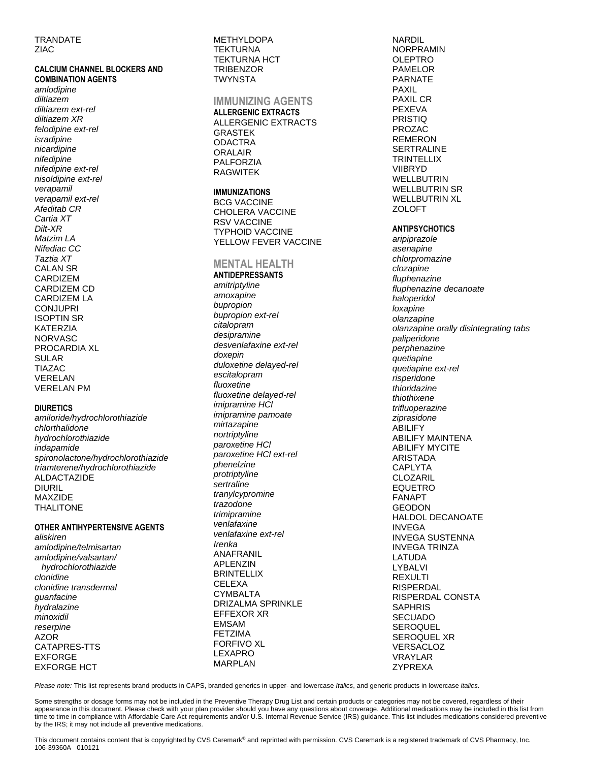#### **TRANDATE ZIAC**

#### **CALCIUM CHANNEL BLOCKERS AND COMBINATION AGENTS**

amlodipine diltiazem diltiazem ext-rel diltiazem XR felodipine ext-rel isradipine nicardipine nifedipine nifedipine ext-rel nisoldipine ext-rel verapamil verapamil ext-rel Afeditab CR Cartia XT Dilt-XR Matzim LA Nifediac CC Taztia XT **CALAN SR** CARDIZEM **CARDIZEM CD CARDIZEM LA CONJUPRI ISOPTIN SR KATERZIA NORVASC** PROCARDIA XL **SULAR TIAZAC VERELAN VERELAN PM** 

#### **DIURETICS**

amiloride/hydrochlorothiazide chlorthalidone hydrochlorothiazide indapamide spironolactone/hydrochlorothiazide triamterene/hydrochlorothiazide **ALDACTAZIDE DIURIL** MAXZIDE **THALITONE** 

## **OTHER ANTIHYPERTENSIVE AGENTS**

aliskiren amlodipine/telmisartan amlodipine/valsartan/ hydrochlorothiazide clonidine clonidine transdermal guanfacine hydralazine minoxidil reserpine **AZOR** CATAPRES-TTS **EXFORGE EXFORGE HCT** 

#### **METHYLDOPA TEKTURNA TEKTURNA HCT TRIBENZOR TWYNSTA**

## **IMMUNIZING AGENTS**

**ALLERGENIC EXTRACTS ALLERGENIC EXTRACTS GRASTEK ODACTRA ORALAIR PALFORZIA RAGWITEK** 

#### **IMMUNIZATIONS**

**BCG VACCINE CHOLERA VACCINE RSV VACCINE TYPHOID VACCINE** YELLOW FEVER VACCINE

### **MENTAL HEALTH**

**ANTIDEPRESSANTS** amitriptyline amoxapine bupropion bupropion ext-rel citalopram desipramine desvenlafaxine ext-rel doxepin duloxetine delayed-rel escitalopram fluoxetine fluoxetine delayed-rel *imipramine HCI* imipramine pamoate mirtazapine nortriptyline paroxetine HCI paroxetine HCI ext-rel phenelzine protriptyline sertraline tranylcypromine trazodone trimipramine venlafaxine venlafaxine ext-rel Irenka **ANAFRANIL APLENZIN BRINTELLIX CELEXA CYMBALTA DRIZALMA SPRINKLE EFFEXOR XR EMSAM FETZIMA FORFIVO XL** LEXAPRO **MARPLAN** 

**NARDIL NORPRAMIN OLEPTRO PAMELOR PARNATE PAXIL PAXIL CR PEXEVA PRISTIQ** PROZAC **REMERON SERTRALINE TRINTELLIX VIIBRYD WELLBUTRIN WELLBUTRIN SR** WELL BUTRIN XL ZOI OFT **ANTIPSYCHOTICS** aripiprazole asenapine chlorpromazine clozapine fluphenazine fluphenazine decanoate haloperidol loxapine olanzapine olanzapine orally disintegrating tabs paliperidone perphenazine quetiapine quetiapine ext-rel risperidone thioridazine thiothixene trifluoperazine ziprasidone ABILIEY **ARILIFY MAINTENA ABILIFY MYCITE ARISTADA CAPLYTA CLOZARIL EQUETRO FANAPT GEODON** HALDOL DECANOATE **INVEGA INVEGA SUSTENNA INVEGA TRINZA LATUDA LYBALVI REXULTI RISPERDAL** RISPERDAL CONSTA **SAPHRIS SECUADO SEROQUEL SEROQUEL XR VERSACLOZ VRAYLAR** 

ZYPREXA

Please note: This list represents brand products in CAPS, branded generics in upper- and lowercase Italics, and generic products in lowercase italics.

Some strengths or dosage forms may not be included in the Preventive Therapy Drug List and certain products or categories may not be covered, regardless of their appearance in this document. Please check with your plan provider should you have any questions about coverage. Additional medications may be included in this list from time to time in compliance with Affordable Care Act requirements and/or U.S. Internal Revenue Service (IRS) guidance. This list includes medications considered preventive by the IRS; it may not include all preventive medications.